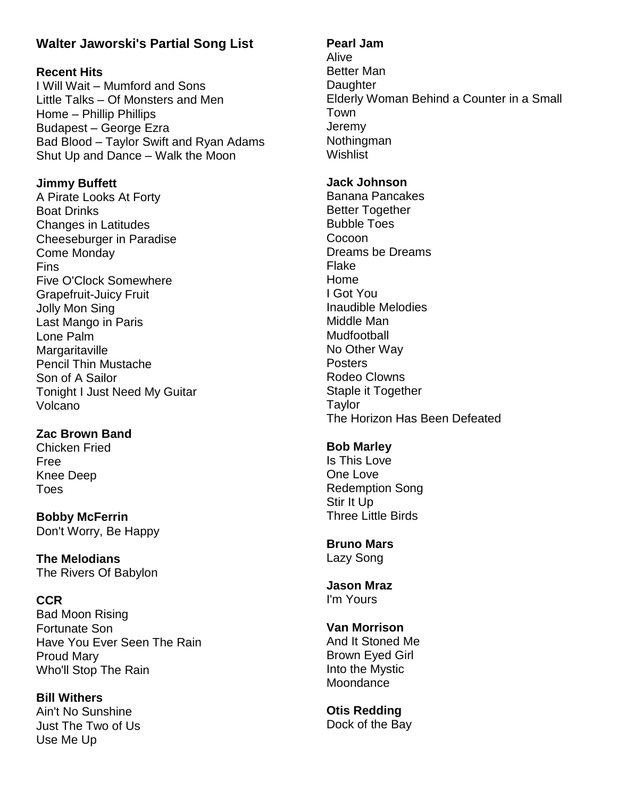# **Walter Jaworski's Partial Song List**

## **Recent Hits**

I Will Wait – Mumford and Sons Little Talks – Of Monsters and Men Home – Phillip Phillips Budapest – George Ezra Bad Blood – Taylor Swift and Ryan Adams Shut Up and Dance – Walk the Moon

## **Jimmy Buffett**

A Pirate Looks At Forty Boat Drinks Changes in Latitudes Cheeseburger in Paradise Come Monday Fins Five O'Clock Somewhere Grapefruit-Juicy Fruit Jolly Mon Sing Last Mango in Paris Lone Palm **Margaritaville** Pencil Thin Mustache Son of A Sailor Tonight I Just Need My Guitar Volcano

# **Zac Brown Band**

Chicken Fried Free Knee Deep Toes

**Bobby McFerrin** Don't Worry, Be Happy

**The Melodians** The Rivers Of Babylon

# **CCR**

Bad Moon Rising Fortunate Son Have You Ever Seen The Rain Proud Mary Who'll Stop The Rain

#### **Bill Withers** Ain't No Sunshine Just The Two of Us Use Me Up

**Pearl Jam**

Alive Better Man **Daughter** Elderly Woman Behind a Counter in a Small Town **Jeremy Nothingman Wishlist** 

### **Jack Johnson**

Banana Pancakes Better Together Bubble Toes Cocoon Dreams be Dreams Flake Home I Got You Inaudible Melodies Middle Man Mudfootball No Other Way **Posters** Rodeo Clowns Staple it Together **Taylor** The Horizon Has Been Defeated

# **Bob Marley**

Is This Love One Love Redemption Song Stir It Up Three Little Birds

#### **Bruno Mars** Lazy Song

**Jason Mraz** I'm Yours

**Van Morrison** And It Stoned Me

Brown Eyed Girl Into the Mystic **Moondance** 

**Otis Redding** Dock of the Bay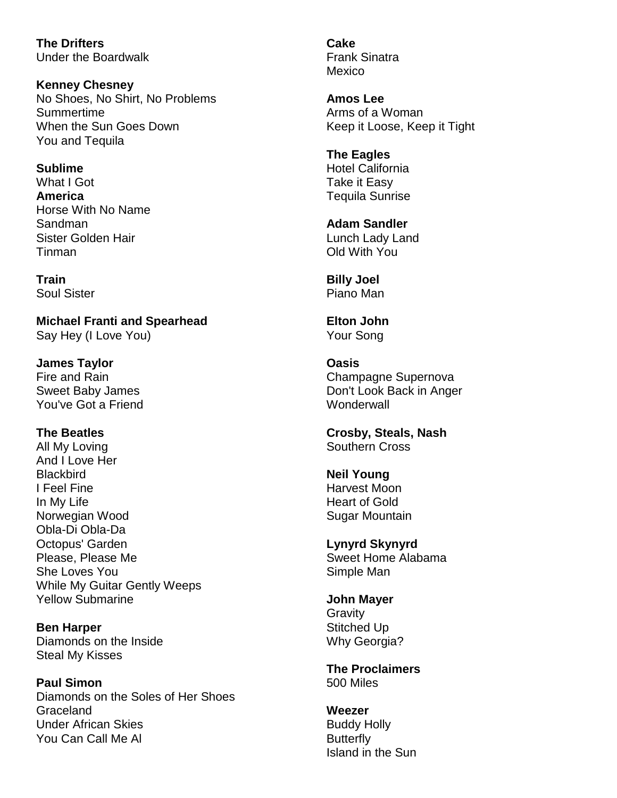**The Drifters** Under the Boardwalk

**Kenney Chesney** No Shoes, No Shirt, No Problems Summertime When the Sun Goes Down You and Tequila

**Sublime** What I Got **America** Horse With No Name Sandman Sister Golden Hair Tinman

**Train** Soul Sister

**Michael Franti and Spearhead** Say Hey (I Love You)

**James Taylor** Fire and Rain Sweet Baby James You've Got a Friend

**The Beatles** All My Loving And I Love Her **Blackbird** I Feel Fine In My Life Norwegian Wood Obla-Di Obla-Da Octopus' Garden Please, Please Me She Loves You While My Guitar Gently Weeps Yellow Submarine

**Ben Harper** Diamonds on the Inside Steal My Kisses

**Paul Simon** Diamonds on the Soles of Her Shoes Graceland Under African Skies You Can Call Me Al

**Cake** Frank Sinatra Mexico

**Amos Lee** Arms of a Woman Keep it Loose, Keep it Tight

**The Eagles** Hotel California Take it Easy Tequila Sunrise

**Adam Sandler** Lunch Lady Land Old With You

**Billy Joel** Piano Man

**Elton John** Your Song

**Oasis** Champagne Supernova Don't Look Back in Anger **Wonderwall** 

**Crosby, Steals, Nash** Southern Cross

**Neil Young** Harvest Moon Heart of Gold Sugar Mountain

**Lynyrd Skynyrd** Sweet Home Alabama Simple Man

**John Mayer Gravity** Stitched Up Why Georgia?

**The Proclaimers** 500 Miles

**Weezer** Buddy Holly **Butterfly** Island in the Sun